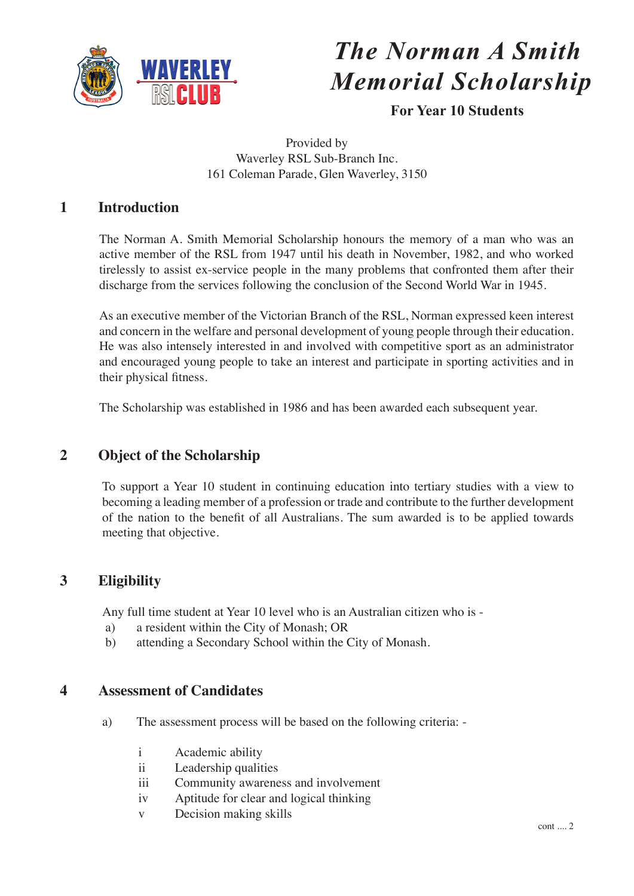

# *The Norman A Smith Memorial Scholarship*

**For Year 10 Students**

Provided by Waverley RSL Sub-Branch Inc. 161 Coleman Parade, Glen Waverley, 3150

### **1 Introduction**

The Norman A. Smith Memorial Scholarship honours the memory of a man who was an active member of the RSL from 1947 until his death in November, 1982, and who worked tirelessly to assist ex-service people in the many problems that confronted them after their discharge from the services following the conclusion of the Second World War in 1945.

As an executive member of the Victorian Branch of the RSL, Norman expressed keen interest and concern in the welfare and personal development of young people through their education. He was also intensely interested in and involved with competitive sport as an administrator and encouraged young people to take an interest and participate in sporting activities and in their physical fitness.

The Scholarship was established in 1986 and has been awarded each subsequent year.

### **2 Object of the Scholarship**

To support a Year 10 student in continuing education into tertiary studies with a view to becoming a leading member of a profession or trade and contribute to the further development of the nation to the benefit of all Australians. The sum awarded is to be applied towards meeting that objective.

## **3 Eligibility**

Any full time student at Year 10 level who is an Australian citizen who is -

- a) a resident within the City of Monash; OR
- b) attending a Secondary School within the City of Monash.

#### **4 Assessment of Candidates**

- a) The assessment process will be based on the following criteria:
	- i Academic ability
	- ii Leadership qualities
	- iii Community awareness and involvement
	- iv Aptitude for clear and logical thinking
	- v Decision making skills cont .... 2